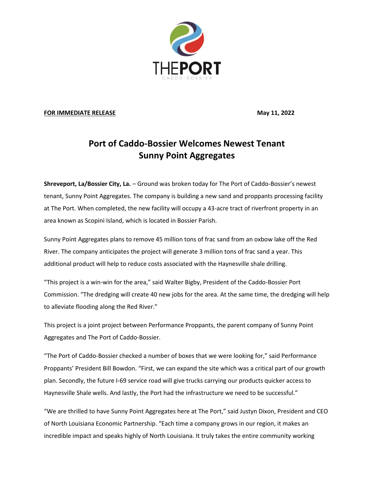

## **FOR IMMEDIATE RELEASE May 11, 2022**

## **Port of Caddo-Bossier Welcomes Newest Tenant Sunny Point Aggregates**

**Shreveport, La/Bossier City, La.** – Ground was broken today for The Port of Caddo-Bossier's newest tenant, Sunny Point Aggregates. The company is building a new sand and proppants processing facility at The Port. When completed, the new facility will occupy a 43-acre tract of riverfront property in an area known as Scopini Island, which is located in Bossier Parish.

Sunny Point Aggregates plans to remove 45 million tons of frac sand from an oxbow lake off the Red River. The company anticipates the project will generate 3 million tons of frac sand a year. This additional product will help to reduce costs associated with the Haynesville shale drilling.

"This project is a win-win for the area," said Walter Bigby, President of the Caddo-Bossier Port Commission. "The dredging will create 40 new jobs for the area. At the same time, the dredging will help to alleviate flooding along the Red River."

This project is a joint project between Performance Proppants, the parent company of Sunny Point Aggregates and The Port of Caddo-Bossier.

"The Port of Caddo-Bossier checked a number of boxes that we were looking for," said Performance Proppants' President Bill Bowdon. "First, we can expand the site which was a critical part of our growth plan. Secondly, the future I-69 service road will give trucks carrying our products quicker access to Haynesville Shale wells. And lastly, the Port had the infrastructure we need to be successful."

"We are thrilled to have Sunny Point Aggregates here at The Port," said Justyn Dixon, President and CEO of North Louisiana Economic Partnership. "Each time a company grows in our region, it makes an incredible impact and speaks highly of North Louisiana. It truly takes the entire community working